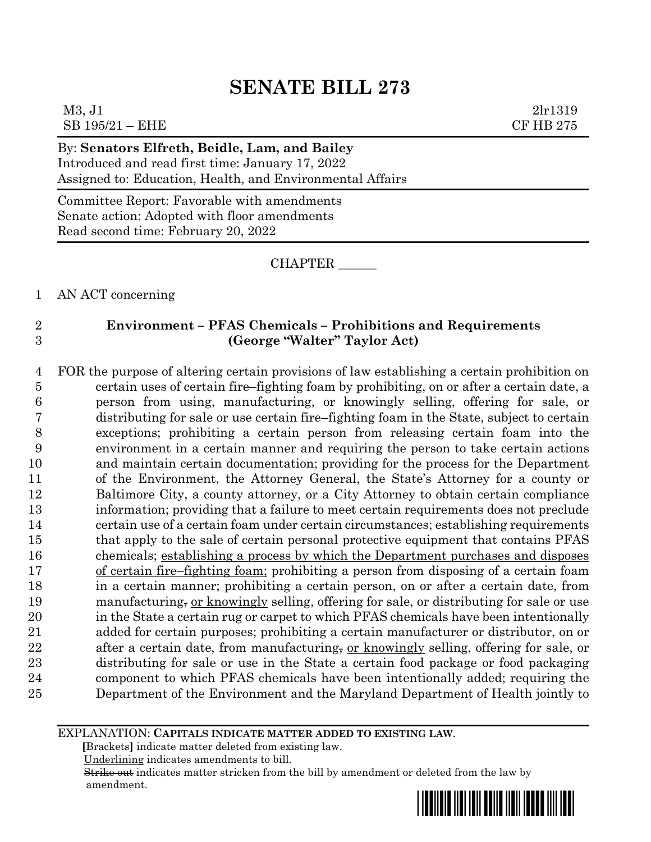### M3, J1 2lr1319  $SB$  195/21 – EHE  $CF$  HB 275

By: **Senators Elfreth, Beidle, Lam, and Bailey** Introduced and read first time: January 17, 2022 Assigned to: Education, Health, and Environmental Affairs

Committee Report: Favorable with amendments Senate action: Adopted with floor amendments Read second time: February 20, 2022

CHAPTER \_\_\_\_\_\_

1 AN ACT concerning

### 2 **Environment – PFAS Chemicals – Prohibitions and Requirements** 3 **(George "Walter" Taylor Act)**

 FOR the purpose of altering certain provisions of law establishing a certain prohibition on certain uses of certain fire–fighting foam by prohibiting, on or after a certain date, a person from using, manufacturing, or knowingly selling, offering for sale, or distributing for sale or use certain fire–fighting foam in the State, subject to certain exceptions; prohibiting a certain person from releasing certain foam into the environment in a certain manner and requiring the person to take certain actions and maintain certain documentation; providing for the process for the Department of the Environment, the Attorney General, the State's Attorney for a county or Baltimore City, a county attorney, or a City Attorney to obtain certain compliance information; providing that a failure to meet certain requirements does not preclude certain use of a certain foam under certain circumstances; establishing requirements that apply to the sale of certain personal protective equipment that contains PFAS chemicals; establishing a process by which the Department purchases and disposes of certain fire–fighting foam; prohibiting a person from disposing of a certain foam in a certain manner; prohibiting a certain person, on or after a certain date, from 19 manufacturing, or knowingly selling, offering for sale, or distributing for sale or use in the State a certain rug or carpet to which PFAS chemicals have been intentionally added for certain purposes; prohibiting a certain manufacturer or distributor, on or 22 after a certain date, from manufacturing, or knowingly selling, offering for sale, or distributing for sale or use in the State a certain food package or food packaging component to which PFAS chemicals have been intentionally added; requiring the Department of the Environment and the Maryland Department of Health jointly to

EXPLANATION: **CAPITALS INDICATE MATTER ADDED TO EXISTING LAW**.

 **[**Brackets**]** indicate matter deleted from existing law.

Underlining indicates amendments to bill.

 Strike out indicates matter stricken from the bill by amendment or deleted from the law by amendment.

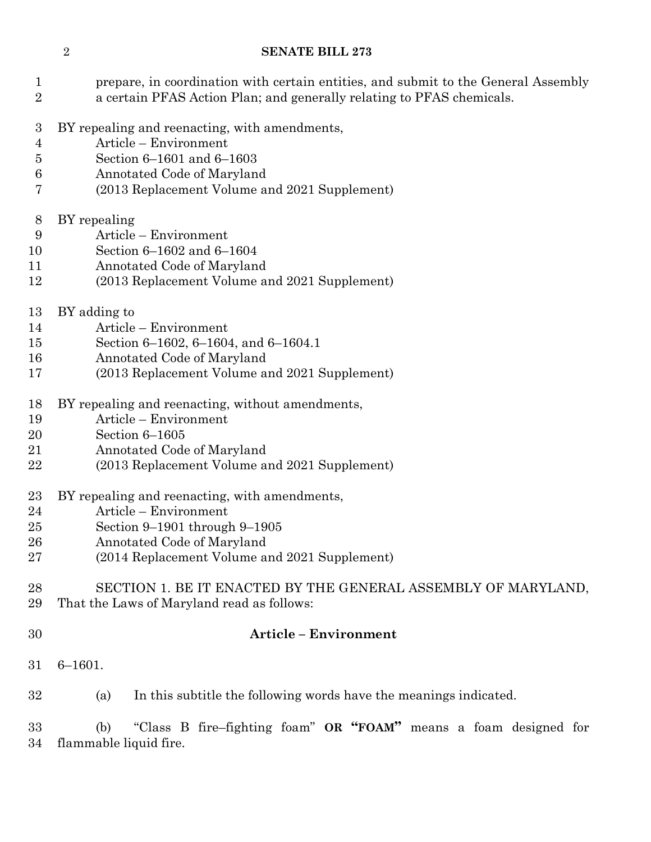- prepare, in coordination with certain entities, and submit to the General Assembly a certain PFAS Action Plan; and generally relating to PFAS chemicals.
- BY repealing and reenacting, with amendments,
- Article Environment
- Section 6–1601 and 6–1603
- Annotated Code of Maryland
- (2013 Replacement Volume and 2021 Supplement)
- BY repealing
- Article Environment
- Section 6–1602 and 6–1604
- Annotated Code of Maryland
- (2013 Replacement Volume and 2021 Supplement)
- BY adding to
- Article Environment
- Section 6–1602, 6–1604, and 6–1604.1
- Annotated Code of Maryland
- (2013 Replacement Volume and 2021 Supplement)
- BY repealing and reenacting, without amendments,
- Article Environment
- Section 6–1605
- Annotated Code of Maryland
- (2013 Replacement Volume and 2021 Supplement)
- BY repealing and reenacting, with amendments,
- Article Environment
- Section 9–1901 through 9–1905
- Annotated Code of Maryland
- (2014 Replacement Volume and 2021 Supplement)

### SECTION 1. BE IT ENACTED BY THE GENERAL ASSEMBLY OF MARYLAND, That the Laws of Maryland read as follows:

### **Article – Environment**

- 6–1601.
- (a) In this subtitle the following words have the meanings indicated.

 (b) "Class B fire–fighting foam" **OR "FOAM"** means a foam designed for flammable liquid fire.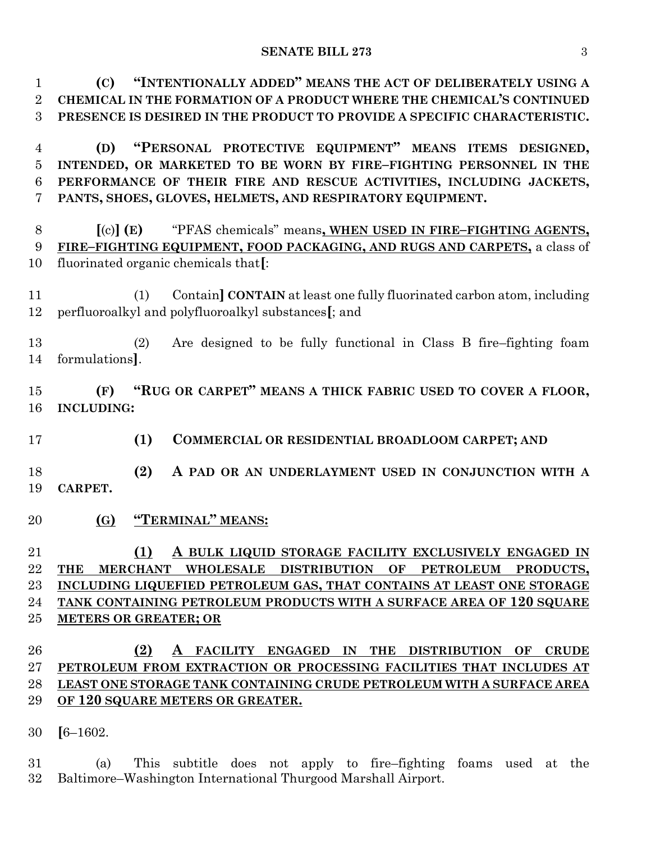**(C) "INTENTIONALLY ADDED" MEANS THE ACT OF DELIBERATELY USING A CHEMICAL IN THE FORMATION OF A PRODUCT WHERE THE CHEMICAL'S CONTINUED PRESENCE IS DESIRED IN THE PRODUCT TO PROVIDE A SPECIFIC CHARACTERISTIC.**

 **(D) "PERSONAL PROTECTIVE EQUIPMENT" MEANS ITEMS DESIGNED, INTENDED, OR MARKETED TO BE WORN BY FIRE–FIGHTING PERSONNEL IN THE PERFORMANCE OF THEIR FIRE AND RESCUE ACTIVITIES, INCLUDING JACKETS, PANTS, SHOES, GLOVES, HELMETS, AND RESPIRATORY EQUIPMENT.**

 **[**(c)**] (E)** "PFAS chemicals" means**, WHEN USED IN FIRE–FIGHTING AGENTS, FIRE–FIGHTING EQUIPMENT, FOOD PACKAGING, AND RUGS AND CARPETS,** a class of fluorinated organic chemicals that**[**:

 (1) Contain**] CONTAIN** at least one fully fluorinated carbon atom, including perfluoroalkyl and polyfluoroalkyl substances**[**; and

 (2) Are designed to be fully functional in Class B fire–fighting foam formulations**]**.

 **(F) "RUG OR CARPET" MEANS A THICK FABRIC USED TO COVER A FLOOR, INCLUDING:**

- **(1) COMMERCIAL OR RESIDENTIAL BROADLOOM CARPET; AND**
- **(2) A PAD OR AN UNDERLAYMENT USED IN CONJUNCTION WITH A CARPET.**
- **(G) "TERMINAL" MEANS:**

 **(1) A BULK LIQUID STORAGE FACILITY EXCLUSIVELY ENGAGED IN THE MERCHANT WHOLESALE DISTRIBUTION OF PETROLEUM PRODUCTS, INCLUDING LIQUEFIED PETROLEUM GAS, THAT CONTAINS AT LEAST ONE STORAGE TANK CONTAINING PETROLEUM PRODUCTS WITH A SURFACE AREA OF 120 SQUARE METERS OR GREATER; OR**

# **(2) A FACILITY ENGAGED IN THE DISTRIBUTION OF CRUDE PETROLEUM FROM EXTRACTION OR PROCESSING FACILITIES THAT INCLUDES AT LEAST ONE STORAGE TANK CONTAINING CRUDE PETROLEUM WITH A SURFACE AREA OF 120 SQUARE METERS OR GREATER.**

**[**6–1602.

 (a) This subtitle does not apply to fire–fighting foams used at the Baltimore–Washington International Thurgood Marshall Airport.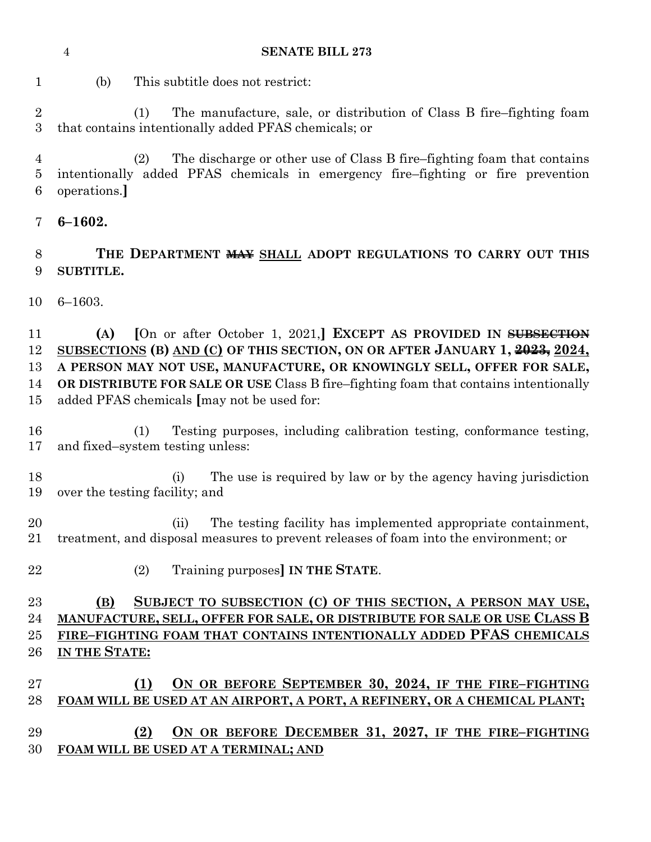| <b>SUBTITLE.</b>                                                                                                                                                                                                                                                                                                                                                     |
|----------------------------------------------------------------------------------------------------------------------------------------------------------------------------------------------------------------------------------------------------------------------------------------------------------------------------------------------------------------------|
| $6 - 1603.$                                                                                                                                                                                                                                                                                                                                                          |
| [On or after October 1, 2021,] EXCEPT AS PROVIDED IN SUBSECTION<br>(A)<br>SUBSECTIONS (B) AND (C) OF THIS SECTION, ON OR AFTER JANUARY 1, 2023, 2024,<br>A PERSON MAY NOT USE, MANUFACTURE, OR KNOWINGLY SELL, OFFER FOR SALE,<br>OR DISTRIBUTE FOR SALE OR USE Class B fire-fighting foam that contains intentionally<br>added PFAS chemicals [may not be used for: |
| Testing purposes, including calibration testing, conformance testing,<br>(1)<br>and fixed-system testing unless:                                                                                                                                                                                                                                                     |
| The use is required by law or by the agency having jurisdiction<br>(i)<br>over the testing facility; and                                                                                                                                                                                                                                                             |
| The testing facility has implemented appropriate containment,<br>(ii)<br>treatment, and disposal measures to prevent releases of foam into the environment; or                                                                                                                                                                                                       |
| Training purposes] IN THE STATE.<br>(2)                                                                                                                                                                                                                                                                                                                              |
| SUBJECT TO SUBSECTION (C) OF THIS SECTION, A PERSON MAY USE,<br>(B)<br>MANUFACTURE, SELL, OFFER FOR SALE, OR DISTRIBUTE FOR SALE OR USE CLASS B<br>FIRE-FIGHTING FOAM THAT CONTAINS INTENTIONALLY ADDED PFAS CHEMICALS<br>IN THE STATE:                                                                                                                              |
| ON OR BEFORE SEPTEMBER 30, 2024, IF THE FIRE-FIGHTING<br>(1)<br>FOAM WILL BE USED AT AN AIRPORT, A PORT, A REFINERY, OR A CHEMICAL PLANT;<br>ON OR BEFORE DECEMBER 31, 2027, IF THE FIRE-FIGHTING<br>(2)<br>FOAM WILL BE USED AT A TERMINAL; AND                                                                                                                     |
|                                                                                                                                                                                                                                                                                                                                                                      |

**6–1602.**

 (2) The discharge or other use of Class B fire–fighting foam that contains intentionally added PFAS chemicals in emergency fire–fighting or fire prevention operations.**]**

(1) The manufacture, sale, or distribution of Class B fire–fighting foam

(b) This subtitle does not restrict:

that contains intentionally added PFAS chemicals; or

**SENATE BILL 273**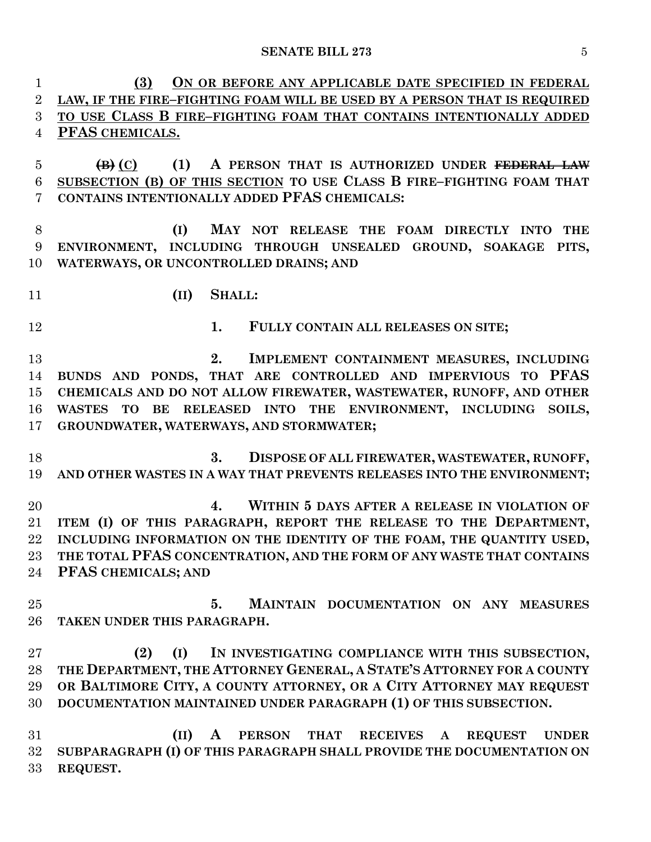**(3) ON OR BEFORE ANY APPLICABLE DATE SPECIFIED IN FEDERAL LAW, IF THE FIRE–FIGHTING FOAM WILL BE USED BY A PERSON THAT IS REQUIRED TO USE CLASS B FIRE–FIGHTING FOAM THAT CONTAINS INTENTIONALLY ADDED PFAS CHEMICALS. (B) (C) (1) A PERSON THAT IS AUTHORIZED UNDER FEDERAL LAW SUBSECTION (B) OF THIS SECTION TO USE CLASS B FIRE–FIGHTING FOAM THAT CONTAINS INTENTIONALLY ADDED PFAS CHEMICALS: (I) MAY NOT RELEASE THE FOAM DIRECTLY INTO THE ENVIRONMENT, INCLUDING THROUGH UNSEALED GROUND, SOAKAGE PITS, WATERWAYS, OR UNCONTROLLED DRAINS; AND (II) SHALL: 1. FULLY CONTAIN ALL RELEASES ON SITE; 2. IMPLEMENT CONTAINMENT MEASURES, INCLUDING BUNDS AND PONDS, THAT ARE CONTROLLED AND IMPERVIOUS TO PFAS CHEMICALS AND DO NOT ALLOW FIREWATER, WASTEWATER, RUNOFF, AND OTHER WASTES TO BE RELEASED INTO THE ENVIRONMENT, INCLUDING SOILS, GROUNDWATER, WATERWAYS, AND STORMWATER; 3. DISPOSE OF ALL FIREWATER, WASTEWATER, RUNOFF, AND OTHER WASTES IN A WAY THAT PREVENTS RELEASES INTO THE ENVIRONMENT; 4. WITHIN 5 DAYS AFTER A RELEASE IN VIOLATION OF ITEM (I) OF THIS PARAGRAPH, REPORT THE RELEASE TO THE DEPARTMENT, INCLUDING INFORMATION ON THE IDENTITY OF THE FOAM, THE QUANTITY USED, THE TOTAL PFAS CONCENTRATION, AND THE FORM OF ANY WASTE THAT CONTAINS PFAS CHEMICALS; AND 5. MAINTAIN DOCUMENTATION ON ANY MEASURES TAKEN UNDER THIS PARAGRAPH. (2) (I) IN INVESTIGATING COMPLIANCE WITH THIS SUBSECTION, THE DEPARTMENT, THE ATTORNEY GENERAL, A STATE'S ATTORNEY FOR A COUNTY OR BALTIMORE CITY, A COUNTY ATTORNEY, OR A CITY ATTORNEY MAY REQUEST DOCUMENTATION MAINTAINED UNDER PARAGRAPH (1) OF THIS SUBSECTION. (II) A PERSON THAT RECEIVES A REQUEST UNDER SUBPARAGRAPH (I) OF THIS PARAGRAPH SHALL PROVIDE THE DOCUMENTATION ON REQUEST.**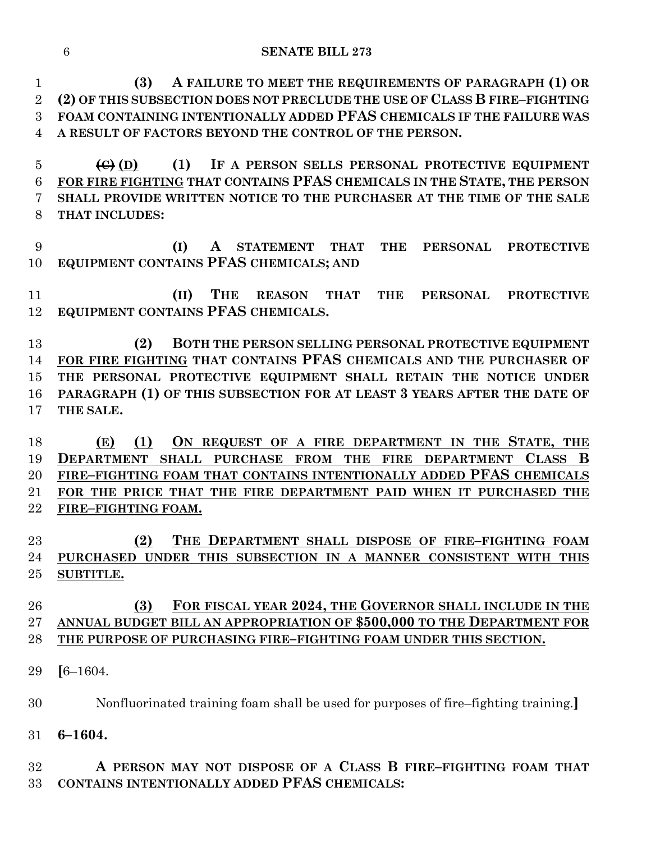**(3) A FAILURE TO MEET THE REQUIREMENTS OF PARAGRAPH (1) OR (2) OF THIS SUBSECTION DOES NOT PRECLUDE THE USE OF CLASS B FIRE–FIGHTING FOAM CONTAINING INTENTIONALLY ADDED PFAS CHEMICALS IF THE FAILURE WAS A RESULT OF FACTORS BEYOND THE CONTROL OF THE PERSON.**

 **(C) (D) (1) IF A PERSON SELLS PERSONAL PROTECTIVE EQUIPMENT FOR FIRE FIGHTING THAT CONTAINS PFAS CHEMICALS IN THE STATE, THE PERSON SHALL PROVIDE WRITTEN NOTICE TO THE PURCHASER AT THE TIME OF THE SALE THAT INCLUDES:**

 **(I) A STATEMENT THAT THE PERSONAL PROTECTIVE EQUIPMENT CONTAINS PFAS CHEMICALS; AND**

 **(II) THE REASON THAT THE PERSONAL PROTECTIVE EQUIPMENT CONTAINS PFAS CHEMICALS.**

 **(2) BOTH THE PERSON SELLING PERSONAL PROTECTIVE EQUIPMENT FOR FIRE FIGHTING THAT CONTAINS PFAS CHEMICALS AND THE PURCHASER OF THE PERSONAL PROTECTIVE EQUIPMENT SHALL RETAIN THE NOTICE UNDER PARAGRAPH (1) OF THIS SUBSECTION FOR AT LEAST 3 YEARS AFTER THE DATE OF THE SALE.**

 **(E) (1) ON REQUEST OF A FIRE DEPARTMENT IN THE STATE, THE DEPARTMENT SHALL PURCHASE FROM THE FIRE DEPARTMENT CLASS B FIRE–FIGHTING FOAM THAT CONTAINS INTENTIONALLY ADDED PFAS CHEMICALS FOR THE PRICE THAT THE FIRE DEPARTMENT PAID WHEN IT PURCHASED THE FIRE–FIGHTING FOAM.**

 **(2) THE DEPARTMENT SHALL DISPOSE OF FIRE–FIGHTING FOAM PURCHASED UNDER THIS SUBSECTION IN A MANNER CONSISTENT WITH THIS SUBTITLE.**

## **(3) FOR FISCAL YEAR 2024, THE GOVERNOR SHALL INCLUDE IN THE ANNUAL BUDGET BILL AN APPROPRIATION OF \$500,000 TO THE DEPARTMENT FOR THE PURPOSE OF PURCHASING FIRE–FIGHTING FOAM UNDER THIS SECTION.**

**[**6–1604.

Nonfluorinated training foam shall be used for purposes of fire–fighting training.**]**

**6–1604.**

 **A PERSON MAY NOT DISPOSE OF A CLASS B FIRE–FIGHTING FOAM THAT CONTAINS INTENTIONALLY ADDED PFAS CHEMICALS:**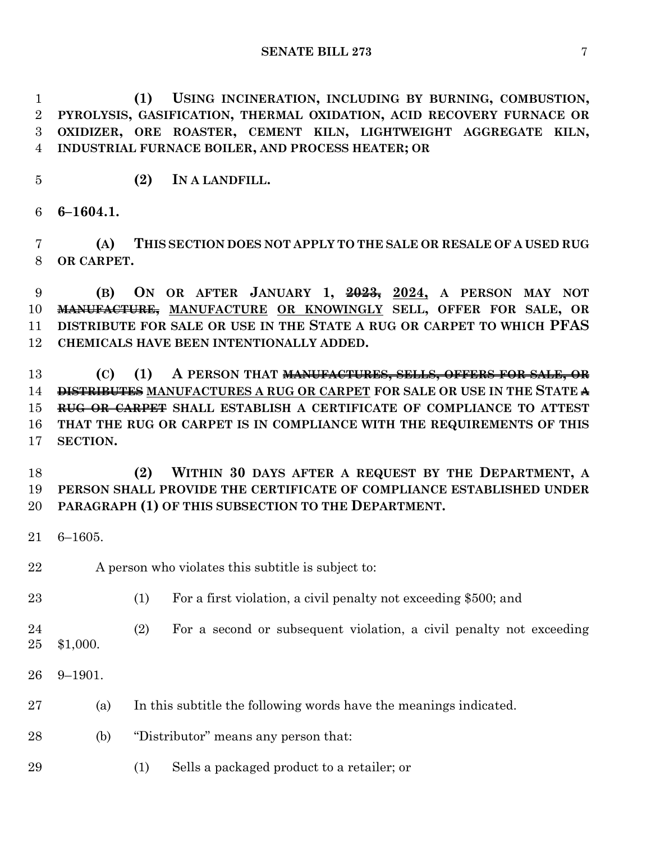**(1) USING INCINERATION, INCLUDING BY BURNING, COMBUSTION, PYROLYSIS, GASIFICATION, THERMAL OXIDATION, ACID RECOVERY FURNACE OR OXIDIZER, ORE ROASTER, CEMENT KILN, LIGHTWEIGHT AGGREGATE KILN, INDUSTRIAL FURNACE BOILER, AND PROCESS HEATER; OR**

**(2) IN A LANDFILL.**

**6–1604.1.**

 **(A) THIS SECTION DOES NOT APPLY TO THE SALE OR RESALE OF A USED RUG OR CARPET.**

 **(B) ON OR AFTER JANUARY 1, 2023, 2024, A PERSON MAY NOT MANUFACTURE, MANUFACTURE OR KNOWINGLY SELL, OFFER FOR SALE, OR DISTRIBUTE FOR SALE OR USE IN THE STATE A RUG OR CARPET TO WHICH PFAS CHEMICALS HAVE BEEN INTENTIONALLY ADDED.**

 **(C) (1) A PERSON THAT MANUFACTURES, SELLS, OFFERS FOR SALE, OR DISTRIBUTES MANUFACTURES A RUG OR CARPET FOR SALE OR USE IN THE STATE A RUG OR CARPET SHALL ESTABLISH A CERTIFICATE OF COMPLIANCE TO ATTEST THAT THE RUG OR CARPET IS IN COMPLIANCE WITH THE REQUIREMENTS OF THIS SECTION.**

 **(2) WITHIN 30 DAYS AFTER A REQUEST BY THE DEPARTMENT, A PERSON SHALL PROVIDE THE CERTIFICATE OF COMPLIANCE ESTABLISHED UNDER PARAGRAPH (1) OF THIS SUBSECTION TO THE DEPARTMENT.**

- 6–1605.
- 22 A person who violates this subtitle is subject to:
- (1) For a first violation, a civil penalty not exceeding \$500; and

(2) For a second or subsequent violation, a civil penalty not exceeding

- \$1,000.
- 9–1901.
- (a) In this subtitle the following words have the meanings indicated.
- (b) "Distributor" means any person that:
- (1) Sells a packaged product to a retailer; or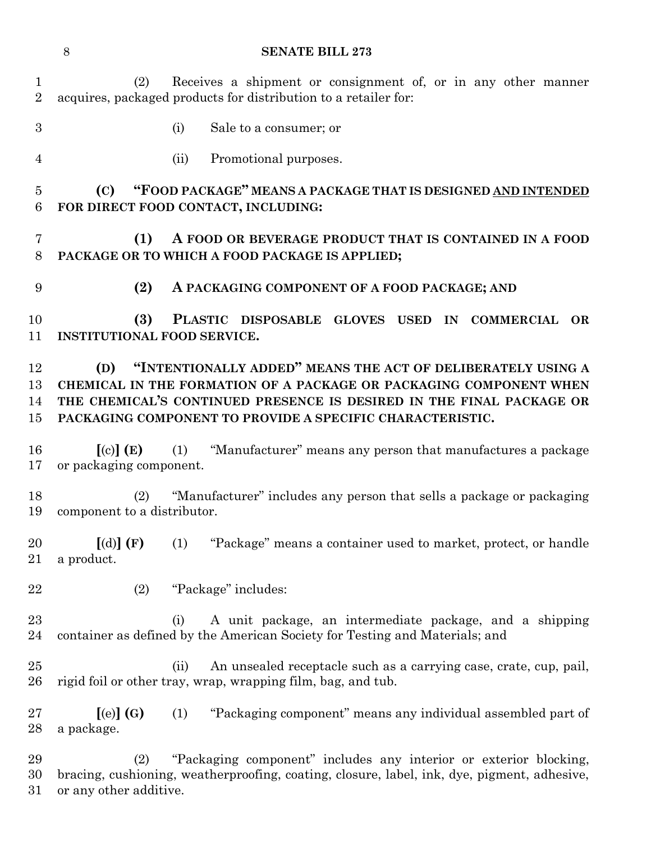**SENATE BILL 273** (2) Receives a shipment or consignment of, or in any other manner acquires, packaged products for distribution to a retailer for: (i) Sale to a consumer; or (ii) Promotional purposes. **(C) "FOOD PACKAGE" MEANS A PACKAGE THAT IS DESIGNED AND INTENDED FOR DIRECT FOOD CONTACT, INCLUDING: (1) A FOOD OR BEVERAGE PRODUCT THAT IS CONTAINED IN A FOOD PACKAGE OR TO WHICH A FOOD PACKAGE IS APPLIED; (2) A PACKAGING COMPONENT OF A FOOD PACKAGE; AND (3) PLASTIC DISPOSABLE GLOVES USED IN COMMERCIAL OR INSTITUTIONAL FOOD SERVICE. (D) "INTENTIONALLY ADDED" MEANS THE ACT OF DELIBERATELY USING A CHEMICAL IN THE FORMATION OF A PACKAGE OR PACKAGING COMPONENT WHEN THE CHEMICAL'S CONTINUED PRESENCE IS DESIRED IN THE FINAL PACKAGE OR PACKAGING COMPONENT TO PROVIDE A SPECIFIC CHARACTERISTIC. [**(c)**] (E)** (1) "Manufacturer" means any person that manufactures a package or packaging component. (2) "Manufacturer" includes any person that sells a package or packaging component to a distributor. **[**(d)**] (F)** (1) "Package" means a container used to market, protect, or handle a product. (2) "Package" includes: (i) A unit package, an intermediate package, and a shipping container as defined by the American Society for Testing and Materials; and (ii) An unsealed receptacle such as a carrying case, crate, cup, pail, rigid foil or other tray, wrap, wrapping film, bag, and tub. **[**(e)**] (G)** (1) "Packaging component" means any individual assembled part of a package. (2) "Packaging component" includes any interior or exterior blocking, bracing, cushioning, weatherproofing, coating, closure, label, ink, dye, pigment, adhesive, or any other additive.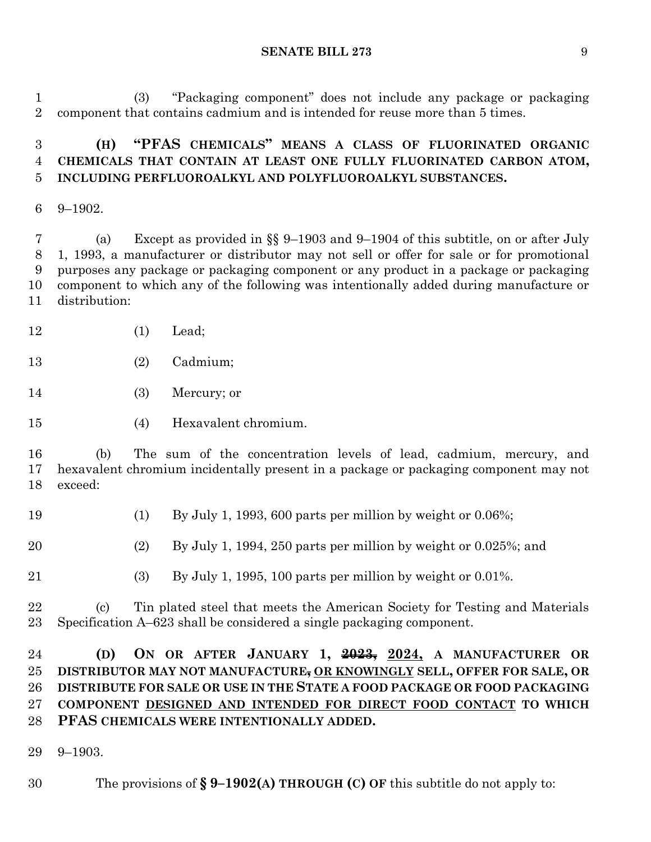(3) "Packaging component" does not include any package or packaging component that contains cadmium and is intended for reuse more than 5 times.

# **(H) "PFAS CHEMICALS" MEANS A CLASS OF FLUORINATED ORGANIC CHEMICALS THAT CONTAIN AT LEAST ONE FULLY FLUORINATED CARBON ATOM, INCLUDING PERFLUOROALKYL AND POLYFLUOROALKYL SUBSTANCES.**

9–1902.

 (a) Except as provided in §§ 9–1903 and 9–1904 of this subtitle, on or after July 1, 1993, a manufacturer or distributor may not sell or offer for sale or for promotional purposes any package or packaging component or any product in a package or packaging component to which any of the following was intentionally added during manufacture or distribution:

- (1) Lead;
- (2) Cadmium;
- (3) Mercury; or
- (4) Hexavalent chromium.

 (b) The sum of the concentration levels of lead, cadmium, mercury, and hexavalent chromium incidentally present in a package or packaging component may not exceed:

- (1) By July 1, 1993, 600 parts per million by weight or 0.06%;
- (2) By July 1, 1994, 250 parts per million by weight or 0.025%; and
- (3) By July 1, 1995, 100 parts per million by weight or 0.01%.

 (c) Tin plated steel that meets the American Society for Testing and Materials Specification A–623 shall be considered a single packaging component.

# **(D) ON OR AFTER JANUARY 1, 2023, 2024, A MANUFACTURER OR DISTRIBUTOR MAY NOT MANUFACTURE, OR KNOWINGLY SELL, OFFER FOR SALE, OR DISTRIBUTE FOR SALE OR USE IN THE STATE A FOOD PACKAGE OR FOOD PACKAGING COMPONENT DESIGNED AND INTENDED FOR DIRECT FOOD CONTACT TO WHICH PFAS CHEMICALS WERE INTENTIONALLY ADDED.**

9–1903.

The provisions of **§ 9–1902(A) THROUGH (C) OF** this subtitle do not apply to: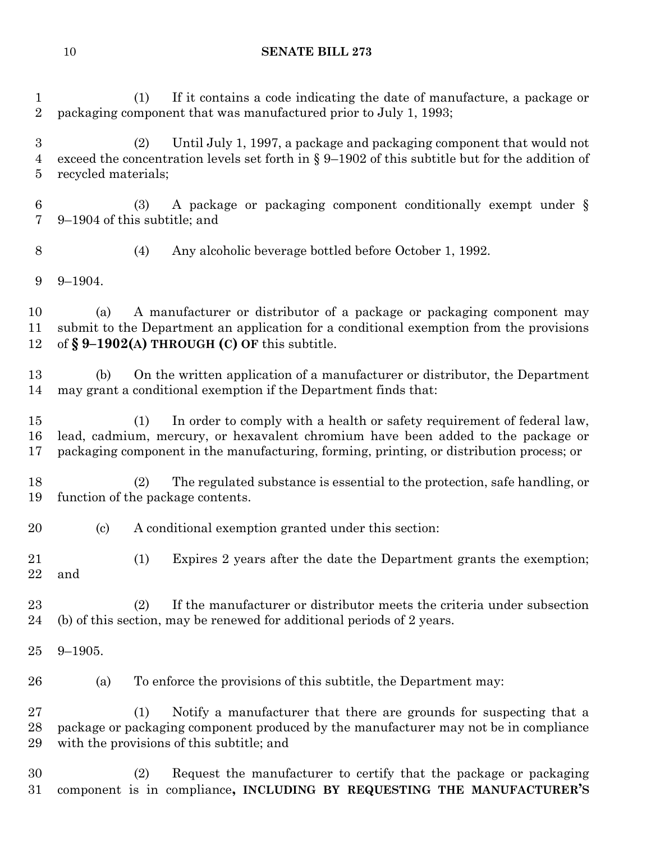(1) If it contains a code indicating the date of manufacture, a package or packaging component that was manufactured prior to July 1, 1993; (2) Until July 1, 1997, a package and packaging component that would not exceed the concentration levels set forth in § 9–1902 of this subtitle but for the addition of recycled materials; (3) A package or packaging component conditionally exempt under § 9–1904 of this subtitle; and (4) Any alcoholic beverage bottled before October 1, 1992. 9–1904. (a) A manufacturer or distributor of a package or packaging component may submit to the Department an application for a conditional exemption from the provisions of **§ 9–1902(A) THROUGH (C) OF** this subtitle. (b) On the written application of a manufacturer or distributor, the Department may grant a conditional exemption if the Department finds that: (1) In order to comply with a health or safety requirement of federal law, lead, cadmium, mercury, or hexavalent chromium have been added to the package or packaging component in the manufacturing, forming, printing, or distribution process; or (2) The regulated substance is essential to the protection, safe handling, or function of the package contents. (c) A conditional exemption granted under this section: (1) Expires 2 years after the date the Department grants the exemption; and

- (2) If the manufacturer or distributor meets the criteria under subsection (b) of this section, may be renewed for additional periods of 2 years.
- 9–1905.
- (a) To enforce the provisions of this subtitle, the Department may:

 (1) Notify a manufacturer that there are grounds for suspecting that a package or packaging component produced by the manufacturer may not be in compliance with the provisions of this subtitle; and

 (2) Request the manufacturer to certify that the package or packaging component is in compliance**, INCLUDING BY REQUESTING THE MANUFACTURER'S**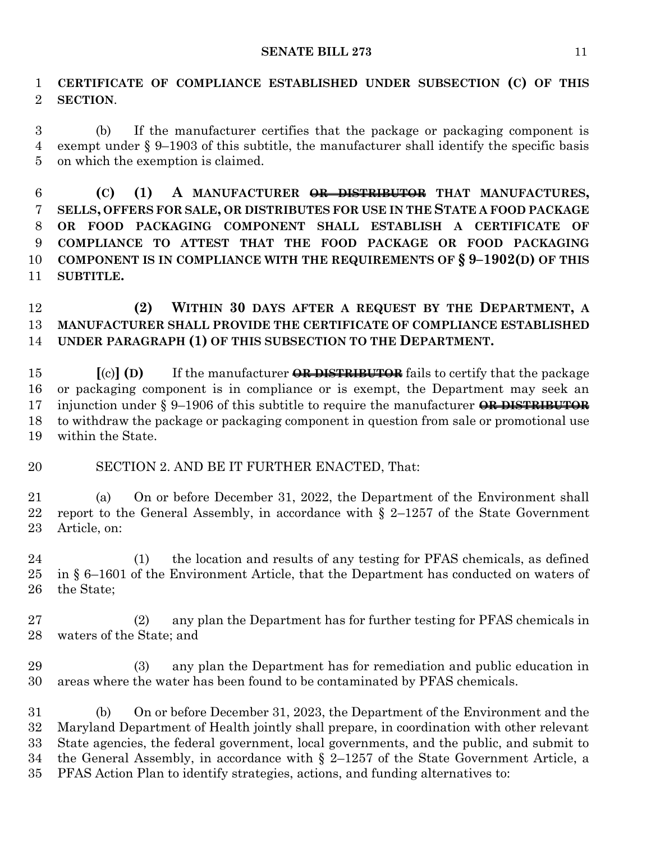**CERTIFICATE OF COMPLIANCE ESTABLISHED UNDER SUBSECTION (C) OF THIS SECTION**.

 (b) If the manufacturer certifies that the package or packaging component is exempt under § 9–1903 of this subtitle, the manufacturer shall identify the specific basis on which the exemption is claimed.

 **(C) (1) A MANUFACTURER OR DISTRIBUTOR THAT MANUFACTURES, SELLS, OFFERS FOR SALE, OR DISTRIBUTES FOR USE IN THE STATE A FOOD PACKAGE OR FOOD PACKAGING COMPONENT SHALL ESTABLISH A CERTIFICATE OF COMPLIANCE TO ATTEST THAT THE FOOD PACKAGE OR FOOD PACKAGING COMPONENT IS IN COMPLIANCE WITH THE REQUIREMENTS OF § 9–1902(D) OF THIS SUBTITLE.**

 **(2) WITHIN 30 DAYS AFTER A REQUEST BY THE DEPARTMENT, A MANUFACTURER SHALL PROVIDE THE CERTIFICATE OF COMPLIANCE ESTABLISHED UNDER PARAGRAPH (1) OF THIS SUBSECTION TO THE DEPARTMENT.**

 **[**(c)**] (D)** If the manufacturer **OR DISTRIBUTOR** fails to certify that the package or packaging component is in compliance or is exempt, the Department may seek an injunction under § 9–1906 of this subtitle to require the manufacturer **OR DISTRIBUTOR** to withdraw the package or packaging component in question from sale or promotional use within the State.

### SECTION 2. AND BE IT FURTHER ENACTED, That:

 (a) On or before December 31, 2022, the Department of the Environment shall 22 report to the General Assembly, in accordance with  $\S$  2–1257 of the State Government Article, on:

 (1) the location and results of any testing for PFAS chemicals, as defined in § 6–1601 of the Environment Article, that the Department has conducted on waters of the State;

 (2) any plan the Department has for further testing for PFAS chemicals in waters of the State; and

 (3) any plan the Department has for remediation and public education in areas where the water has been found to be contaminated by PFAS chemicals.

 (b) On or before December 31, 2023, the Department of the Environment and the Maryland Department of Health jointly shall prepare, in coordination with other relevant State agencies, the federal government, local governments, and the public, and submit to the General Assembly, in accordance with § 2–1257 of the State Government Article, a PFAS Action Plan to identify strategies, actions, and funding alternatives to: